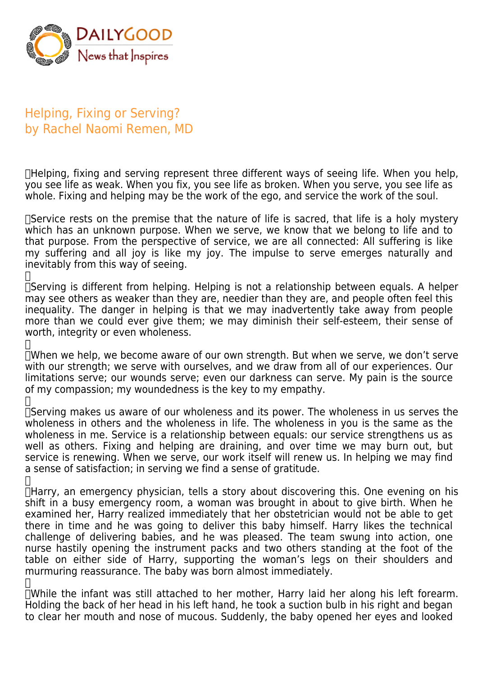

## Helping, Fixing or Serving? by Rachel Naomi Remen, MD

 Helping, fixing and serving represent three different ways of seeing life. When you help, you see life as weak. When you fix, you see life as broken. When you serve, you see life as whole. Fixing and helping may be the work of the ego, and service the work of the soul.

 $\Box$ Service rests on the premise that the nature of life is sacred, that life is a holy mystery which has an unknown purpose. When we serve, we know that we belong to life and to that purpose. From the perspective of service, we are all connected: All suffering is like my suffering and all joy is like my joy. The impulse to serve emerges naturally and inevitably from this way of seeing.

П

 Serving is different from helping. Helping is not a relationship between equals. A helper may see others as weaker than they are, needier than they are, and people often feel this inequality. The danger in helping is that we may inadvertently take away from people more than we could ever give them; we may diminish their self-esteem, their sense of worth, integrity or even wholeness.

П

 When we help, we become aware of our own strength. But when we serve, we don't serve with our strength; we serve with ourselves, and we draw from all of our experiences. Our limitations serve; our wounds serve; even our darkness can serve. My pain is the source of my compassion; my woundedness is the key to my empathy.

П

 Serving makes us aware of our wholeness and its power. The wholeness in us serves the wholeness in others and the wholeness in life. The wholeness in you is the same as the wholeness in me. Service is a relationship between equals: our service strengthens us as well as others. Fixing and helping are draining, and over time we may burn out, but service is renewing. When we serve, our work itself will renew us. In helping we may find a sense of satisfaction; in serving we find a sense of gratitude.

 $\Box$  Harry, an emergency physician, tells a story about discovering this. One evening on his shift in a busy emergency room, a woman was brought in about to give birth. When he examined her, Harry realized immediately that her obstetrician would not be able to get there in time and he was going to deliver this baby himself. Harry likes the technical challenge of delivering babies, and he was pleased. The team swung into action, one nurse hastily opening the instrument packs and two others standing at the foot of the table on either side of Harry, supporting the woman's legs on their shoulders and murmuring reassurance. The baby was born almost immediately.

 $\Box$ 

 While the infant was still attached to her mother, Harry laid her along his left forearm. Holding the back of her head in his left hand, he took a suction bulb in his right and began to clear her mouth and nose of mucous. Suddenly, the baby opened her eyes and looked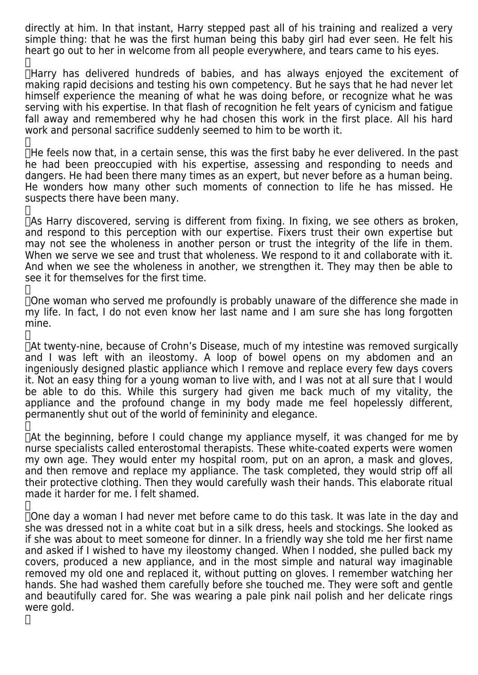directly at him. In that instant, Harry stepped past all of his training and realized a very simple thing: that he was the first human being this baby girl had ever seen. He felt his heart go out to her in welcome from all people everywhere, and tears came to his eyes.  $\Box$ 

 Harry has delivered hundreds of babies, and has always enjoyed the excitement of making rapid decisions and testing his own competency. But he says that he had never let himself experience the meaning of what he was doing before, or recognize what he was serving with his expertise. In that flash of recognition he felt years of cynicism and fatigue fall away and remembered why he had chosen this work in the first place. All his hard work and personal sacrifice suddenly seemed to him to be worth it.  $\Box$ 

 $\Box$ He feels now that, in a certain sense, this was the first baby he ever delivered. In the past he had been preoccupied with his expertise, assessing and responding to needs and dangers. He had been there many times as an expert, but never before as a human being. He wonders how many other such moments of connection to life he has missed. He suspects there have been many.

 $\Box$ 

 As Harry discovered, serving is different from fixing. In fixing, we see others as broken, and respond to this perception with our expertise. Fixers trust their own expertise but may not see the wholeness in another person or trust the integrity of the life in them. When we serve we see and trust that wholeness. We respond to it and collaborate with it. And when we see the wholeness in another, we strengthen it. They may then be able to see it for themselves for the first time.

 $\Box$ 

 One woman who served me profoundly is probably unaware of the difference she made in my life. In fact, I do not even know her last name and I am sure she has long forgotten mine.

 $\Box$ 

 At twenty-nine, because of Crohn's Disease, much of my intestine was removed surgically and I was left with an ileostomy. A loop of bowel opens on my abdomen and an ingeniously designed plastic appliance which I remove and replace every few days covers it. Not an easy thing for a young woman to live with, and I was not at all sure that I would be able to do this. While this surgery had given me back much of my vitality, the appliance and the profound change in my body made me feel hopelessly different, permanently shut out of the world of femininity and elegance.  $\Box$ 

 $\Box$  At the beginning, before I could change my appliance myself, it was changed for me by nurse specialists called enterostomal therapists. These white-coated experts were women my own age. They would enter my hospital room, put on an apron, a mask and gloves, and then remove and replace my appliance. The task completed, they would strip off all their protective clothing. Then they would carefully wash their hands. This elaborate ritual made it harder for me. I felt shamed.

П

 One day a woman I had never met before came to do this task. It was late in the day and she was dressed not in a white coat but in a silk dress, heels and stockings. She looked as if she was about to meet someone for dinner. In a friendly way she told me her first name and asked if I wished to have my ileostomy changed. When I nodded, she pulled back my covers, produced a new appliance, and in the most simple and natural way imaginable removed my old one and replaced it, without putting on gloves. I remember watching her hands. She had washed them carefully before she touched me. They were soft and gentle and beautifully cared for. She was wearing a pale pink nail polish and her delicate rings were gold.